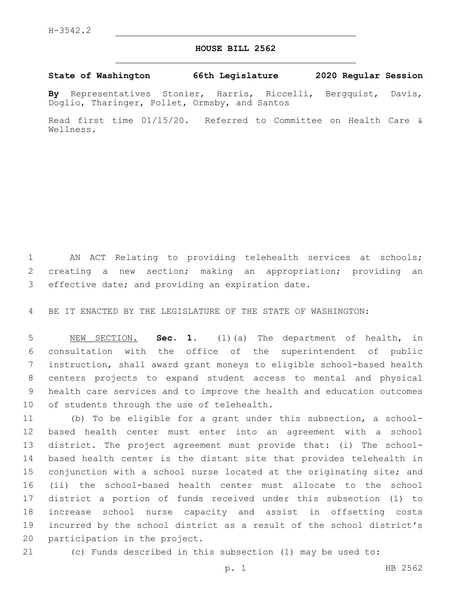## **HOUSE BILL 2562**

## **State of Washington 66th Legislature 2020 Regular Session**

**By** Representatives Stonier, Harris, Riccelli, Bergquist, Davis, Doglio, Tharinger, Pollet, Ormsby, and Santos

Read first time 01/15/20. Referred to Committee on Health Care & Wellness.

 AN ACT Relating to providing telehealth services at schools; creating a new section; making an appropriation; providing an 3 effective date; and providing an expiration date.

BE IT ENACTED BY THE LEGISLATURE OF THE STATE OF WASHINGTON:

 NEW SECTION. **Sec. 1.** (1)(a) The department of health, in consultation with the office of the superintendent of public instruction, shall award grant moneys to eligible school-based health centers projects to expand student access to mental and physical health care services and to improve the health and education outcomes of students through the use of telehealth.

 (b) To be eligible for a grant under this subsection, a school- based health center must enter into an agreement with a school district. The project agreement must provide that: (i) The school- based health center is the distant site that provides telehealth in conjunction with a school nurse located at the originating site; and (ii) the school-based health center must allocate to the school district a portion of funds received under this subsection (1) to increase school nurse capacity and assist in offsetting costs incurred by the school district as a result of the school district's 20 participation in the project.

(c) Funds described in this subsection (1) may be used to: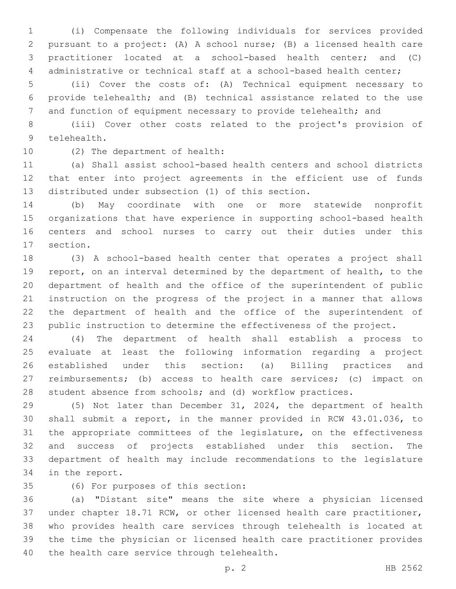(i) Compensate the following individuals for services provided pursuant to a project: (A) A school nurse; (B) a licensed health care practitioner located at a school-based health center; and (C) administrative or technical staff at a school-based health center;

 (ii) Cover the costs of: (A) Technical equipment necessary to provide telehealth; and (B) technical assistance related to the use 7 and function of equipment necessary to provide telehealth; and

 (iii) Cover other costs related to the project's provision of 9 telehealth.

10 (2) The department of health:

 (a) Shall assist school-based health centers and school districts that enter into project agreements in the efficient use of funds 13 distributed under subsection (1) of this section.

 (b) May coordinate with one or more statewide nonprofit organizations that have experience in supporting school-based health centers and school nurses to carry out their duties under this 17 section.

 (3) A school-based health center that operates a project shall report, on an interval determined by the department of health, to the department of health and the office of the superintendent of public instruction on the progress of the project in a manner that allows the department of health and the office of the superintendent of public instruction to determine the effectiveness of the project.

 (4) The department of health shall establish a process to evaluate at least the following information regarding a project established under this section: (a) Billing practices and reimbursements; (b) access to health care services; (c) impact on student absence from schools; and (d) workflow practices.

 (5) Not later than December 31, 2024, the department of health shall submit a report, in the manner provided in RCW 43.01.036, to the appropriate committees of the legislature, on the effectiveness and success of projects established under this section. The department of health may include recommendations to the legislature 34 in the report.

(6) For purposes of this section:35

 (a) "Distant site" means the site where a physician licensed under chapter 18.71 RCW, or other licensed health care practitioner, who provides health care services through telehealth is located at the time the physician or licensed health care practitioner provides 40 the health care service through telehealth.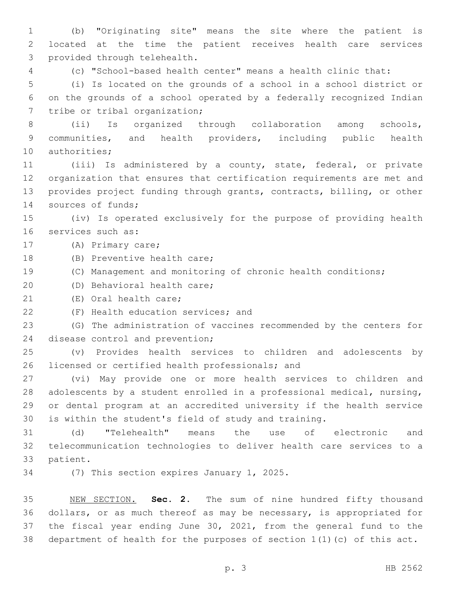(b) "Originating site" means the site where the patient is located at the time the patient receives health care services 3 provided through telehealth.

(c) "School-based health center" means a health clinic that:

 (i) Is located on the grounds of a school in a school district or on the grounds of a school operated by a federally recognized Indian 7 tribe or tribal organization;

 (ii) Is organized through collaboration among schools, communities, and health providers, including public health 10 authorities;

 (iii) Is administered by a county, state, federal, or private organization that ensures that certification requirements are met and provides project funding through grants, contracts, billing, or other 14 sources of funds;

 (iv) Is operated exclusively for the purpose of providing health 16 services such as:

17 (A) Primary care;

18 (B) Preventive health care;

(C) Management and monitoring of chronic health conditions;

20 (D) Behavioral health care;

21 (E) Oral health care;

22 (F) Health education services; and

 (G) The administration of vaccines recommended by the centers for 24 disease control and prevention;

 (v) Provides health services to children and adolescents by 26 licensed or certified health professionals; and

 (vi) May provide one or more health services to children and adolescents by a student enrolled in a professional medical, nursing, or dental program at an accredited university if the health service is within the student's field of study and training.

 (d) "Telehealth" means the use of electronic and telecommunication technologies to deliver health care services to a 33 patient.

34 (7) This section expires January 1, 2025.

 NEW SECTION. **Sec. 2.** The sum of nine hundred fifty thousand dollars, or as much thereof as may be necessary, is appropriated for the fiscal year ending June 30, 2021, from the general fund to the department of health for the purposes of section 1(1)(c) of this act.